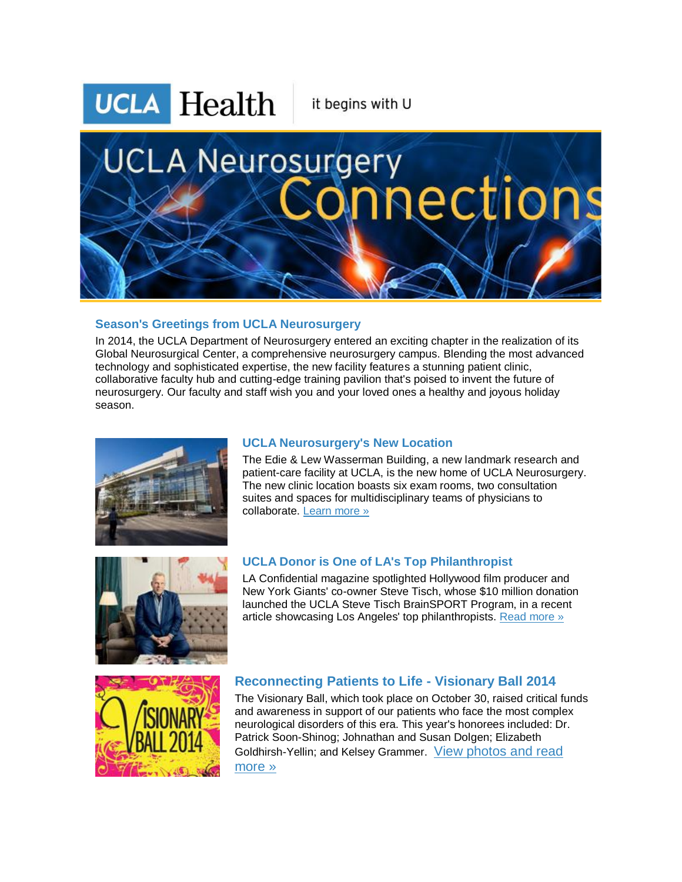

#### **Season's Greetings from UCLA Neurosurgery**

In 2014, the UCLA Department of Neurosurgery entered an exciting chapter in the realization of its Global Neurosurgical Center, a comprehensive neurosurgery campus. Blending the most advanced technology and sophisticated expertise, the new facility features a stunning patient clinic, collaborative faculty hub and cutting-edge training pavilion that's poised to invent the future of neurosurgery. Our faculty and staff wish you and your loved ones a healthy and joyous holiday season.



## **UCLA Neurosurgery's New Location**

The Edie & Lew Wasserman Building, a new landmark research and patient-care facility at UCLA, is the new home of UCLA Neurosurgery. The new clinic location boasts six exam rooms, two consultation suites and spaces for multidisciplinary teams of physicians to collaborate. [Learn more »](http://r20.rs6.net/tn.jsp?f=001Y5iuUAltxGS3BQq2R_d9-gJBA4im1Rk6eo4ORXGkmYC1PT9vkO5Z1Zdq2fr8dK188ergAI7p0H2QyjoZXz7hRXHcrqcLCMmTajFretZzN9L7BjAaagdpwYNPfPz4Dd3Us8AblN-koOhPtPUY2MYdgIe7tcffU6459eHAvTjOF_67lT9bu-VWfefNIDXHfNuBDdH328KrnpqoPYeaCamI9YKDgOLz4MpUMd_KwD-UcpNpsrd5Tt4HNWXAV7NsJdWDxMcSzEPCrwJZXoYdjaOfZTdeHtjTuwz4Q_OTlMuxJKJpux8g9q8sNMFYwj49iTkwIpTWjVXC9H4DSkqQDDJbgqqsDWhKvTVeOAvDKTqlYszRVBneXhvgVARp6gs5d8aWW6-fUSvEPGc=&c=lZ3O6zt-9_O5Fjo9SORgggkBrk0EGOKyY2QU8sZ_C5QcPXtocOw5KQ==&ch=9zf0ratunXteM0peVUhNYDOM3NCUFJuHomAoh7hmAkpqNxdrNSSeiA==)



#### **UCLA Donor is One of LA's Top Philanthropist**

LA Confidential magazine spotlighted Hollywood film producer and New York Giants' co-owner Steve Tisch, whose \$10 million donation launched the UCLA Steve Tisch BrainSPORT Program, in a recent article showcasing Los Angeles' top philanthropists. [Read more »](http://r20.rs6.net/tn.jsp?f=001Y5iuUAltxGS3BQq2R_d9-gJBA4im1Rk6eo4ORXGkmYC1PT9vkO5Z1Zdq2fr8dK18fBXuZg_zpsY5qI9CwDYs4P0NgcFb7rtnXQrz-rE74IfwtMKFPfkJSWp2g4rV6k09_uSML3cusH025_1JZSWWIHcQlxbesVZW4ilayhVIxnLyoLP1WC4bGNb0M6SinPWB2-a0lkJEHRGhy3V-X9fg9g_Uv7LxUxwfojKT6WM7Nmk2VDH0hkyxeyav8P7C67-MYcDAmXuQQvkWms2qhPc0Qgzw-9UbSupfJC8XWkAv4jKgm472d_jXf8UDgdTmjndOpYBPRYYYAJeBNTlOVQiQsMfTnjFc-tnj15dUpMzITqH7zVKYgWdYMNbOdKYcYyT4jegvZ6qFHa5i0PL-wuA1pjwSN5RFYWaDGr5yf-oJj9QawQxnJ5LuazkpQD3FkRXm&c=lZ3O6zt-9_O5Fjo9SORgggkBrk0EGOKyY2QU8sZ_C5QcPXtocOw5KQ==&ch=9zf0ratunXteM0peVUhNYDOM3NCUFJuHomAoh7hmAkpqNxdrNSSeiA==)



## **Reconnecting Patients to Life - Visionary Ball 2014**

The Visionary Ball, which took place on October 30, raised critical funds and awareness in support of our patients who face the most complex neurological disorders of this era. This year's honorees included: Dr. Patrick Soon-Shinog; Johnathan and Susan Dolgen; Elizabeth Goldhirsh-Yellin; and Kelsey Grammer. [View photos and read](http://r20.rs6.net/tn.jsp?f=001Y5iuUAltxGS3BQq2R_d9-gJBA4im1Rk6eo4ORXGkmYC1PT9vkO5Z1Zdq2fr8dK18BwO3F9FS_xWL-c_BYEax0YsmT2CD-9opKQIPr_wBT6UxzJcNzG9bBVxLjakx_8co2s99Ab7u0fYb2omA7H-o4yzVZPh3Xri0D0GjzQ3gtG1ijMaeimWCv0utINsVHM3Gi0gjgs-O-yE85aRIYGizk9amzdx5a73Ipczw2zOHwKOMw3jSrzpFhoqY9HM4j0yvlOhEG6l7dPBj1D9hc-mwPC1Pda0MpDU8TmmxqvcGE76mwzu-rbfmtA_ZvVZEXEAmpBgSKX3BaRNPOnctTWDAmgx7o95xwhcGNzor0cOipIqHX1haRM3EubZ5nwyaqI_WuqQVSSQSEv9Am_W2SvBJXQ==&c=lZ3O6zt-9_O5Fjo9SORgggkBrk0EGOKyY2QU8sZ_C5QcPXtocOw5KQ==&ch=9zf0ratunXteM0peVUhNYDOM3NCUFJuHomAoh7hmAkpqNxdrNSSeiA==)  [more »](http://r20.rs6.net/tn.jsp?f=001Y5iuUAltxGS3BQq2R_d9-gJBA4im1Rk6eo4ORXGkmYC1PT9vkO5Z1Zdq2fr8dK18BwO3F9FS_xWL-c_BYEax0YsmT2CD-9opKQIPr_wBT6UxzJcNzG9bBVxLjakx_8co2s99Ab7u0fYb2omA7H-o4yzVZPh3Xri0D0GjzQ3gtG1ijMaeimWCv0utINsVHM3Gi0gjgs-O-yE85aRIYGizk9amzdx5a73Ipczw2zOHwKOMw3jSrzpFhoqY9HM4j0yvlOhEG6l7dPBj1D9hc-mwPC1Pda0MpDU8TmmxqvcGE76mwzu-rbfmtA_ZvVZEXEAmpBgSKX3BaRNPOnctTWDAmgx7o95xwhcGNzor0cOipIqHX1haRM3EubZ5nwyaqI_WuqQVSSQSEv9Am_W2SvBJXQ==&c=lZ3O6zt-9_O5Fjo9SORgggkBrk0EGOKyY2QU8sZ_C5QcPXtocOw5KQ==&ch=9zf0ratunXteM0peVUhNYDOM3NCUFJuHomAoh7hmAkpqNxdrNSSeiA==)